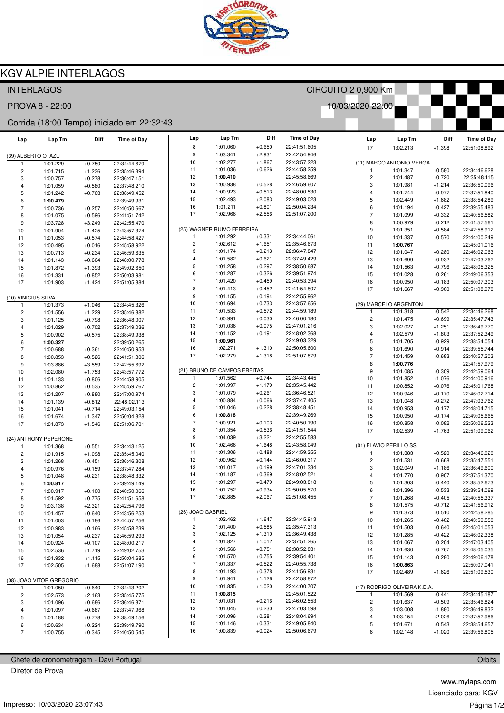

## **KGV ALPIE INTERLAGOS**

| <b>INTERLAGOS</b><br>CIRCUITO 2 0,900 Km   |                          |                      |                              |    |                         |                                          |                      |                              |                         |                                      |                      |                              |
|--------------------------------------------|--------------------------|----------------------|------------------------------|----|-------------------------|------------------------------------------|----------------------|------------------------------|-------------------------|--------------------------------------|----------------------|------------------------------|
| PROVA 8 - 22:00<br>10/03/2020 22:00        |                          |                      |                              |    |                         |                                          |                      |                              |                         |                                      |                      |                              |
| Corrida (18:00 Tempo) iniciado em 22:32:43 |                          |                      |                              |    |                         |                                          |                      |                              |                         |                                      |                      |                              |
| Lap                                        | Lap Tm                   | Diff                 | <b>Time of Day</b>           |    | Lap                     | Lap Tm                                   | Diff                 | <b>Time of Day</b>           | Lap                     | Lap Tm                               | Diff                 | <b>Time of Day</b>           |
|                                            |                          |                      |                              |    | 8                       | 1:01.060                                 | $+0.650$             | 22:41:51.605                 | 17                      | 1:02.213                             | $+1.398$             | 22:51:08.892                 |
| (39) ALBERTO OTAZU                         |                          |                      |                              | 10 | 9                       | 1:03.341<br>1:02.277                     | $+2.931$<br>$+1.867$ | 22:42:54.946<br>22:43:57.223 |                         |                                      |                      |                              |
| 1                                          | 1:01.229                 | $+0.750$             | 22:34:44.679                 | 11 |                         | 1:01.036                                 | $+0.626$             | 22:44:58.259                 | $\mathbf{1}$            | (11) MARCO ANTONIO VERGA<br>1:01.347 | $+0.580$             | 22:34:46.628                 |
| $\overline{\mathbf{c}}$<br>3               | 1:01.715<br>1:00.757     | $+1.236$<br>$+0.278$ | 22:35:46.394<br>22:36:47.151 | 12 |                         | 1:00.410                                 |                      | 22:45:58.669                 | $\overline{\mathbf{c}}$ | 1:01.487                             | $+0.720$             | 22:35:48.115                 |
| 4                                          | 1:01.059                 | $+0.580$             | 22:37:48.210                 | 13 |                         | 1:00.938                                 | $+0.528$             | 22:46:59.607                 | 3                       | 1:01.981                             | $+1.214$             | 22:36:50.096                 |
| 5                                          | 1:01.242                 | $+0.763$             | 22:38:49.452                 | 14 |                         | 1:00.923                                 | $+0.513$             | 22:48:00.530                 | $\overline{4}$          | 1:01.744                             | $+0.977$             | 22:37:51.840                 |
| 6                                          | 1:00.479                 |                      | 22:39:49.931                 | 15 |                         | 1:02.493                                 | $+2.083$             | 22:49:03.023                 | 5                       | 1:02.449                             | $+1.682$             | 22:38:54.289                 |
| $\overline{7}$                             | 1:00.736                 | $+0.257$             | 22:40:50.667                 | 16 |                         | 1:01.211                                 | $+0.801$             | 22:50:04.234                 | 6                       | 1:01.194                             | $+0.427$             | 22:39:55.483                 |
| 8                                          | 1:01.075                 | $+0.596$             | 22:41:51.742                 | 17 |                         | 1:02.966                                 | $+2.556$             | 22:51:07.200                 | $\overline{7}$          | 1:01.099                             | $+0.332$             | 22:40:56.582                 |
| 9                                          | 1:03.728                 | $+3.249$             | 22:42:55.470                 |    |                         |                                          |                      |                              | 8                       | 1:00.979                             | $+0.212$             | 22:41:57.561                 |
| 10                                         | 1:01.904                 | $+1.425$             | 22:43:57.374                 |    |                         | (25) WAGNER RUIVO FERREIRA               |                      |                              | 9                       | 1:01.351                             | $+0.584$             | 22:42:58.912                 |
| 11                                         | 1:01.053                 | $+0.574$             | 22:44:58.427                 |    | 1                       | 1:01.292                                 | $+0.331$             | 22:34:44.061                 | $10$                    | 1:01.337                             | $+0.570$             | 22:44:00.249                 |
| 12                                         | 1:00.495                 | $+0.016$             | 22:45:58.922                 |    | $\overline{\mathbf{c}}$ | 1:02.612                                 | $+1.651$             | 22:35:46.673                 | 11                      | 1:00.767                             |                      | 22:45:01.016                 |
| 13                                         | 1:00.713                 | $+0.234$             | 22:46:59.635                 |    | 3                       | 1:01.174                                 | $+0.213$             | 22:36:47.847                 | 12                      | 1:01.047                             | $+0.280$             | 22:46:02.063                 |
| 14                                         | 1:01.143                 | $+0.664$             | 22:48:00.778                 |    | 4<br>5                  | 1:01.582<br>1:01.258                     | $+0.621$<br>$+0.297$ | 22:37:49.429<br>22:38:50.687 | 13                      | 1:01.699                             | $+0.932$             | 22:47:03.762                 |
| 15                                         | 1:01.872                 | $+1.393$             | 22:49:02.650                 |    | 6                       | 1:01.287                                 | $+0.326$             | 22:39:51.974                 | 14<br>15                | 1:01.563<br>1:01.028                 | $+0.796$<br>$+0.261$ | 22:48:05.325<br>22:49:06.353 |
| 16                                         | 1:01.331                 | $+0.852$             | 22:50:03.981                 |    | $\overline{7}$          | 1:01.420                                 | $+0.459$             | 22:40:53.394                 | 16                      | 1:00.950                             | $+0.183$             | 22:50:07.303                 |
| 17                                         | 1:01.903                 | $+1.424$             | 22:51:05.884                 |    | 8                       | 1:01.413                                 | $+0.452$             | 22:41:54.807                 | 17                      | 1:01.667                             | $+0.900$             | 22:51:08.970                 |
| (10) VINICIUS SILVA                        |                          |                      |                              |    | 9                       | 1:01.155                                 | $+0.194$             | 22:42:55.962                 |                         |                                      |                      |                              |
| -1                                         | 1:01.373                 | $+1.046$             | 22:34:45.326                 | 10 |                         | 1:01.694                                 | $+0.733$             | 22:43:57.656                 |                         | (29) MARCELO ARGENTON                |                      |                              |
| $\overline{\mathbf{c}}$                    | 1:01.556                 | $+1.229$             | 22:35:46.882                 | 11 |                         | 1:01.533                                 | $+0.572$             | 22:44:59.189                 | $\mathbf{1}$            | 1:01.318                             | $+0.542$             | 22:34:46.268                 |
| 3                                          | 1:01.125                 | $+0.798$             | 22:36:48.007                 | 12 |                         | 1:00.991                                 | $+0.030$             | 22:46:00.180                 | $\overline{\mathbf{c}}$ | 1:01.475                             | $+0.699$             | 22:35:47.743                 |
| 4                                          | 1:01.029                 | $+0.702$             | 22:37:49.036                 | 13 |                         | 1:01.036                                 | $+0.075$             | 22:47:01.216                 | 3                       | 1:02.027                             | $+1.251$             | 22:36:49.770                 |
| 5                                          | 1:00.902                 | $+0.575$             | 22:38:49.938                 | 14 |                         | 1:01.152                                 | $+0.191$             | 22:48:02.368                 | 4                       | 1:02.579                             | $+1.803$             | 22:37:52.349                 |
| 6                                          | 1:00.327                 |                      | 22:39:50.265                 | 15 |                         | 1:00.961                                 |                      | 22:49:03.329                 | 5                       | 1:01.705                             | $+0.929$             | 22:38:54.054                 |
| $\overline{7}$                             | 1:00.688                 | $+0.361$             | 22:40:50.953                 | 16 |                         | 1:02.271                                 | $+1.310$             | 22:50:05.600                 | 6                       | 1:01.690                             | $+0.914$             | 22:39:55.744                 |
| 8                                          | 1:00.853                 | $+0.526$             | 22:41:51.806                 | 17 |                         | 1:02.279                                 | $+1.318$             | 22:51:07.879                 | $\overline{7}$          | 1:01.459                             | $+0.683$             | 22:40:57.203                 |
| 9                                          | 1:03.886                 | $+3.559$             | 22:42:55.692                 |    |                         |                                          |                      |                              | 8                       | 1:00.776                             |                      | 22:41:57.979                 |
| 10                                         | 1:02.080                 | $+1.753$             | 22:43:57.772                 |    |                         | (21) BRUNO DE CAMPOS FREITAS<br>1:01.562 | $+0.744$             | 22:34:43.445                 | 9                       | 1:01.085                             | $+0.309$             | 22:42:59.064                 |
| 11                                         | 1:01.133                 | $+0.806$             | 22:44:58.905                 |    | 2                       | 1:01.997                                 | $+1.179$             | 22:35:45.442                 | 10<br>11                | 1:01.852<br>1:00.852                 | $+1.076$<br>$+0.076$ | 22:44:00.916<br>22:45:01.768 |
| 12<br>13                                   | 1:00.862<br>1:01.207     | $+0.535$<br>$+0.880$ | 22:45:59.767<br>22:47:00.974 |    | 3                       | 1:01.079                                 | $+0.261$             | 22:36:46.521                 | 12                      | 1:00.946                             | $+0.170$             | 22:46:02.714                 |
| 14                                         | 1:01.139                 | $+0.812$             | 22:48:02.113                 |    | 4                       | 1:00.884                                 | $+0.066$             | 22:37:47.405                 | 13                      | 1:01.048                             | $+0.272$             | 22:47:03.762                 |
| 15                                         | 1:01.041                 | $+0.714$             | 22:49:03.154                 |    | 5                       | 1:01.046                                 | $+0.228$             | 22:38:48.451                 | 14                      | 1:00.953                             | $+0.177$             | 22:48:04.715                 |
| 16                                         | 1:01.674                 | $+1.347$             | 22:50:04.828                 |    | 6                       | 1:00.818                                 |                      | 22:39:49.269                 | 15                      | 1:00.950                             | $+0.174$             | 22:49:05.665                 |
| 17                                         | 1:01.873                 | $+1.546$             | 22:51:06.701                 |    | $\overline{7}$          | 1:00.921                                 | $+0.103$             | 22:40:50.190                 | 16                      | 1:00.858                             | $+0.082$             | 22:50:06.523                 |
|                                            |                          |                      |                              |    | 8                       | 1:01.354                                 | $+0.536$             | 22:41:51.544                 | 17                      | 1:02.539                             | $+1.763$             | 22:51:09.062                 |
|                                            | (24) ANTHONY PEPERONE    |                      |                              |    | 9                       | 1:04.039                                 | $+3.221$             | 22:42:55.583                 |                         |                                      |                      |                              |
| -1                                         | 1:01.368                 | $+0.551$             | 22:34:43.125                 | 10 |                         | 1:02.466                                 | $+1.648$             | 22:43:58.049                 |                         | (01) FLAVIO PERILLO SS               |                      |                              |
| $\overline{c}$                             | 1:01.915                 | $+1.098$             | 22:35:45.040                 | 11 |                         | 1:01.306                                 | $+0.488$             | 22:44:59.355                 | 1                       | 1:01.383                             | $+0.520$             | 22:34:46.020                 |
| 3                                          | 1:01.268                 | $+0.451$             | 22:36:46.308                 | 12 | 13                      | 1:00.962<br>1:01.017                     | $+0.144$<br>$+0.199$ | 22:46:00.317<br>22:47:01.334 | $\overline{\mathbf{c}}$ | 1:01.531                             | $+0.668$             | 22:35:47.551                 |
| 4                                          | 1:00.976                 | $+0.159$             | 22:37:47.284                 | 14 |                         | 1:01.187                                 | $+0.369$             | 22:48:02.521                 | 3                       | 1:02.049                             | $+1.186$             | 22:36:49.600                 |
| 5<br>6                                     | 1:01.048                 | $+0.231$             | 22:38:48.332<br>22:39:49.149 | 15 |                         | 1:01.297                                 | $+0.479$             | 22:49:03.818                 | 4<br>5                  | 1:01.770<br>1:01.303                 | $+0.907$<br>$+0.440$ | 22:37:51.370<br>22:38:52.673 |
| 7                                          | 1:00.817<br>1:00.917     | $+0.100$             | 22:40:50.066                 | 16 |                         | 1:01.752                                 | $+0.934$             | 22:50:05.570                 | 6                       | 1:01.396                             | $+0.533$             | 22:39:54.069                 |
| 8                                          | 1:01.592                 | $+0.775$             | 22:41:51.658                 | 17 |                         | 1:02.885                                 | $+2.067$             | 22:51:08.455                 | $\overline{7}$          | 1:01.268                             | $+0.405$             | 22:40:55.337                 |
| 9                                          | 1:03.138                 | $+2.321$             | 22:42:54.796                 |    |                         |                                          |                      |                              | 8                       | 1:01.575                             | $+0.712$             | 22:41:56.912                 |
| 10                                         | 1:01.457                 | $+0.640$             | 22:43:56.253                 |    |                         | (26) JOAO GABRIEL                        |                      |                              | 9                       | 1:01.373                             | $+0.510$             | 22:42:58.285                 |
| 11                                         | 1:01.003                 | $+0.186$             | 22:44:57.256                 |    | 1                       | 1:02.462                                 | $+1.647$             | 22:34:45.913                 | 10                      | 1:01.265                             | $+0.402$             | 22:43:59.550                 |
| 12                                         | 1:00.983                 | $+0.166$             | 22:45:58.239                 |    | 2                       | 1:01.400                                 | $+0.585$             | 22:35:47.313                 | 11                      | 1:01.503                             | $+0.640$             | 22:45:01.053                 |
| 13                                         | 1:01.054                 | $+0.237$             | 22:46:59.293                 |    | 3                       | 1:02.125                                 | $+1.310$             | 22:36:49.438                 | 12                      | 1:01.285                             | $+0.422$             | 22:46:02.338                 |
| 14                                         | 1:00.924                 | $+0.107$             | 22:48:00.217                 |    | 4                       | 1:01.827                                 | $+1.012$             | 22:37:51.265                 | 13                      | 1:01.067                             | $+0.204$             | 22:47:03.405                 |
| 15                                         | 1:02.536                 | $+1.719$             | 22:49:02.753                 |    | 5                       | 1:01.566                                 | $+0.751$             | 22:38:52.831                 | 14                      | 1:01.630                             | $+0.767$             | 22:48:05.035                 |
| 16                                         | 1:01.932                 | $+1.115$             | 22:50:04.685                 |    | 6                       | 1:01.570                                 | $+0.755$             | 22:39:54.401                 | 15                      | 1:01.143                             | $+0.280$             | 22:49:06.178                 |
| 17                                         | 1:02.505                 | $+1.688$             | 22:51:07.190                 |    | $\boldsymbol{7}$        | 1:01.337                                 | $+0.522$             | 22:40:55.738                 | 16                      | 1:00.863                             |                      | 22:50:07.041                 |
|                                            |                          |                      |                              |    | 8<br>9                  | 1:01.193<br>1:01.941                     | $+0.378$<br>$+1.126$ | 22:41:56.931<br>22:42:58.872 | 17                      | 1:02.489                             | $+1.626$             | 22:51:09.530                 |
|                                            | (08) JOAO VITOR GREGORIO |                      |                              | 10 |                         | 1:01.835                                 | $+1.020$             | 22:44:00.707                 |                         | (17) RODRIGO OLIVEIRA K.D.A.         |                      |                              |
| $\mathbf{1}$<br>$\overline{c}$             | 1:01.050<br>1:02.573     | $+0.640$<br>$+2.163$ | 22:34:43.202<br>22:35:45.775 | 11 |                         | 1:00.815                                 |                      | 22:45:01.522                 | $\mathbf{1}$            | 1:01.569                             | $+0.441$             | 22:34:45.187                 |
| 3                                          | 1:01.096                 | $+0.686$             | 22:36:46.871                 | 12 |                         | 1:01.031                                 | $+0.216$             | 22:46:02.553                 | $\overline{\mathbf{c}}$ | 1:01.637                             | $+0.509$             | 22:35:46.824                 |
| 4                                          | 1:01.097                 | $+0.687$             | 22:37:47.968                 | 13 |                         | 1:01.045                                 | $+0.230$             | 22:47:03.598                 | 3                       | 1:03.008                             | $+1.880$             | 22:36:49.832                 |
| 5                                          | 1:01.188                 | $+0.778$             | 22:38:49.156                 | 14 |                         | 1:01.096                                 | $+0.281$             | 22:48:04.694                 | 4                       | 1:03.154                             | $+2.026$             | 22:37:52.986                 |
| 6                                          | 1:00.634                 | $+0.224$             | 22:39:49.790                 | 15 |                         | 1:01.146                                 | $+0.331$             | 22:49:05.840                 | 5                       | 1:01.671                             | $+0.543$             | 22:38:54.657                 |
| $\overline{7}$                             | 1:00.755                 | $+0.345$             | 22:40:50.545                 | 16 |                         | 1:00.839                                 | $+0.024$             | 22:50:06.679                 | 6                       | 1:02.148                             | $+1.020$             | 22:39:56.805                 |
|                                            |                          |                      |                              |    |                         |                                          |                      |                              |                         |                                      |                      |                              |

Chefe de cronometragem - Davi Portugal

Diretor de Prova

www.mylaps.com Licenciado para: KGV Página 1/2

Orbits